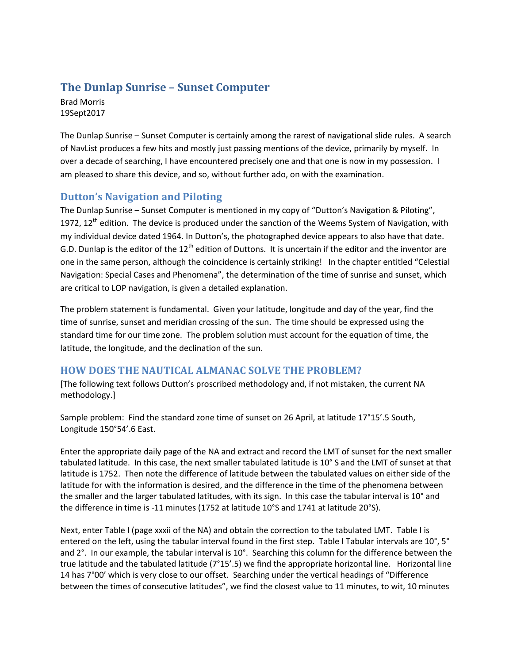# **The Dunlap Sunrise – Sunset Computer**

Brad Morris 19Sept2017

The Dunlap Sunrise – Sunset Computer is certainly among the rarest of navigational slide rules. A search of NavList produces a few hits and mostly just passing mentions of the device, primarily by myself. In over a decade of searching, I have encountered precisely one and that one is now in my possession. I am pleased to share this device, and so, without further ado, on with the examination.

## **Dutton's Navigation and Piloting**

The Dunlap Sunrise – Sunset Computer is mentioned in my copy of "Dutton's Navigation & Piloting", 1972,  $12<sup>th</sup>$  edition. The device is produced under the sanction of the Weems System of Navigation, with my individual device dated 1964. In Dutton's, the photographed device appears to also have that date. G.D. Dunlap is the editor of the  $12<sup>th</sup>$  edition of Duttons. It is uncertain if the editor and the inventor are one in the same person, although the coincidence is certainly striking! In the chapter entitled "Celestial Navigation: Special Cases and Phenomena", the determination of the time of sunrise and sunset, which are critical to LOP navigation, is given a detailed explanation.

The problem statement is fundamental. Given your latitude, longitude and day of the year, find the time of sunrise, sunset and meridian crossing of the sun. The time should be expressed using the standard time for our time zone. The problem solution must account for the equation of time, the latitude, the longitude, and the declination of the sun.

## **HOW DOES THE NAUTICAL ALMANAC SOLVE THE PROBLEM?**

[The following text follows Dutton's proscribed methodology and, if not mistaken, the current NA methodology.]

Sample problem: Find the standard zone time of sunset on 26 April, at latitude 17°15'.5 South, Longitude 150°54'.6 East.

Enter the appropriate daily page of the NA and extract and record the LMT of sunset for the next smaller tabulated latitude. In this case, the next smaller tabulated latitude is 10° S and the LMT of sunset at that latitude is 1752. Then note the difference of latitude between the tabulated values on either side of the latitude for with the information is desired, and the difference in the time of the phenomena between the smaller and the larger tabulated latitudes, with its sign. In this case the tabular interval is 10° and the difference in time is -11 minutes (1752 at latitude 10°S and 1741 at latitude 20°S).

Next, enter Table I (page xxxii of the NA) and obtain the correction to the tabulated LMT. Table I is entered on the left, using the tabular interval found in the first step. Table I Tabular intervals are 10°, 5° and 2°. In our example, the tabular interval is 10°. Searching this column for the difference between the true latitude and the tabulated latitude (7°15'.5) we find the appropriate horizontal line. Horizontal line 14 has 7°00' which is very close to our offset. Searching under the vertical headings of "Difference between the times of consecutive latitudes", we find the closest value to 11 minutes, to wit, 10 minutes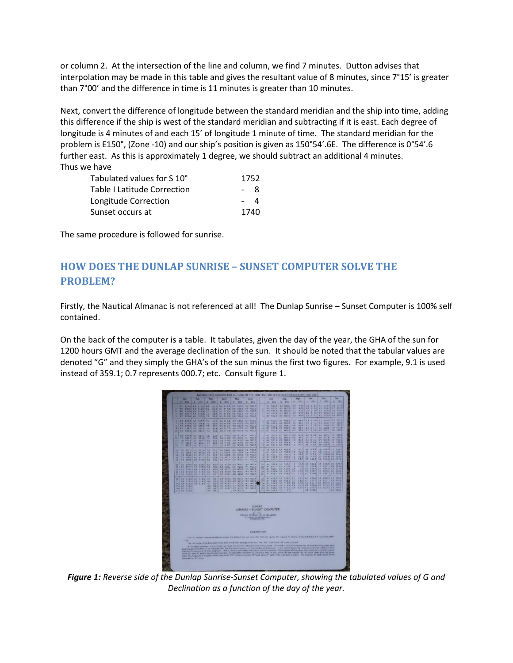or column 2. At the intersection of the line and column, we find 7 minutes. Dutton advises that interpolation may be made in this table and gives the resultant value of 8 minutes, since 7°15' is greater than 7°00' and the difference in time is 11 minutes is greater than 10 minutes.

Next, convert the difference of longitude between the standard meridian and the ship into time, adding this difference if the ship is west of the standard meridian and subtracting if it is east. Each degree of longitude is 4 minutes of and each 15' of longitude 1 minute of time. The standard meridian for the problem is E150°, (Zone -10) and our ship's position is given as 150°54'.6E. The difference is 0°54'.6 further east. As this is approximately 1 degree, we should subtract an additional 4 minutes. Thus we have

| Tabulated values for S 10°         | 1752 |                |
|------------------------------------|------|----------------|
| <b>Table I Latitude Correction</b> | - 8  |                |
| Longitude Correction               |      | $\overline{a}$ |
| Sunset occurs at                   | 1740 |                |

The same procedure is followed for sunrise.

# **HOW DOES THE DUNLAP SUNRISE – SUNSET COMPUTER SOLVE THE PROBLEM?**

Firstly, the Nautical Almanac is not referenced at all! The Dunlap Sunrise - Sunset Computer is 100% self contained.

On the back of the computer is a table. It tabulates, given the day of the year, the GHA of the sun for 1200 hours GMT and the average declination of the sun. It should be noted that the tabular values are denoted "G" and they simply the GHA's of the sun minus the first two figures. For example, 9.1 is used instead of 359.1; 0.7 represents 000.7; etc. Consult figure 1.



*Figure 1: Reverse side of the Dunlap Sunrise-Sunset Computer, showing the tabulated values of G and Declination as a function of the day of the year.*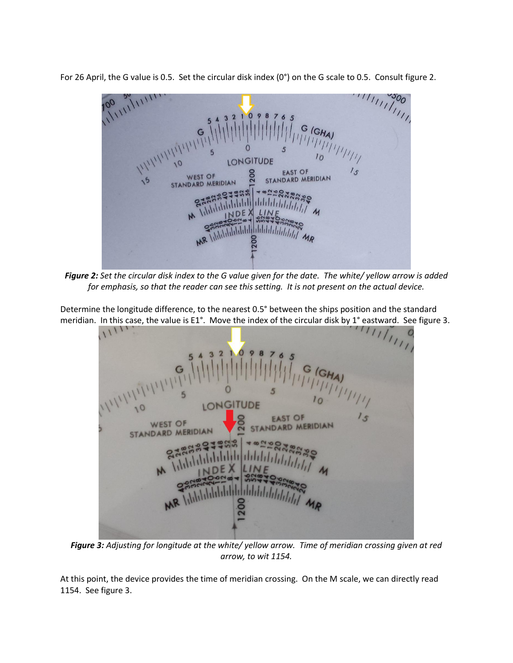For 26 April, the G value is 0.5. Set the circular disk index (0°) on the G scale to 0.5. Consult figure 2.



*Figure 2: Set the circular disk index to the G value given for the date. The white/ yellow arrow is added for emphasis, so that the reader can see this setting. It is not present on the actual device.*

Determine the longitude difference, to the nearest 0.5° between the ships position and the standard meridian. In this case, the value is E1°. Move the index of the circular disk by 1° eastward. See figure 3.

| 11111                                                                      |  |
|----------------------------------------------------------------------------|--|
|                                                                            |  |
|                                                                            |  |
|                                                                            |  |
| 10<br>LONGITUDE                                                            |  |
| $1_{\mathcal{S}}$<br><b>EAST OF</b><br><b>WEST OF</b><br>STANDARD MERIDIAN |  |
| STANDARD MERIDIAN                                                          |  |
| 1903<br>22382.80                                                           |  |
| Addu ddddddddddd                                                           |  |
| M Vililili<br>NDEX LINE<br>$\mathcal{M}_{1}$                               |  |
|                                                                            |  |
| Additibilitility MR<br>MR III                                              |  |
| 200                                                                        |  |
|                                                                            |  |
|                                                                            |  |

*Figure 3: Adjusting for longitude at the white/ yellow arrow. Time of meridian crossing given at red arrow, to wit 1154.*

At this point, the device provides the time of meridian crossing. On the M scale, we can directly read 1154. See figure 3.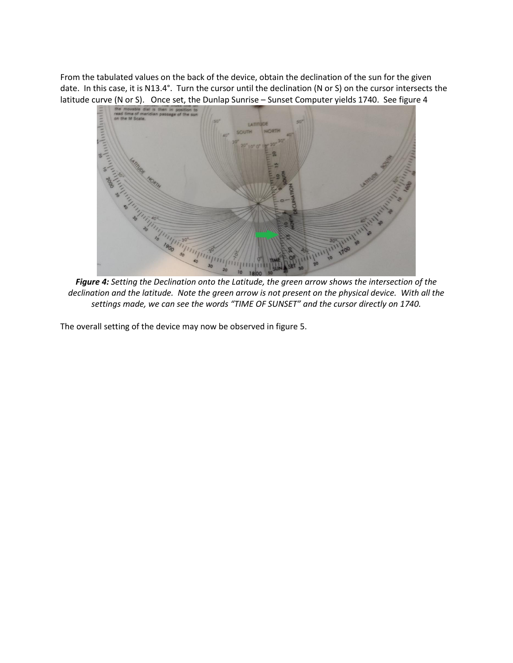From the tabulated values on the back of the device, obtain the declination of the sun for the given date. In this case, it is N13.4°. Turn the cursor until the declination (N or S) on the cursor intersects the latitude curve (N or S). Once set, the Dunlap Sunrise – Sunset Computer yields 1740. See figure 4



*Figure 4: Setting the Declination onto the Latitude, the green arrow shows the intersection of the declination and the latitude. Note the green arrow is not present on the physical device. With all the settings made, we can see the words "TIME OF SUNSET" and the cursor directly on 1740.*

The overall setting of the device may now be observed in figure 5.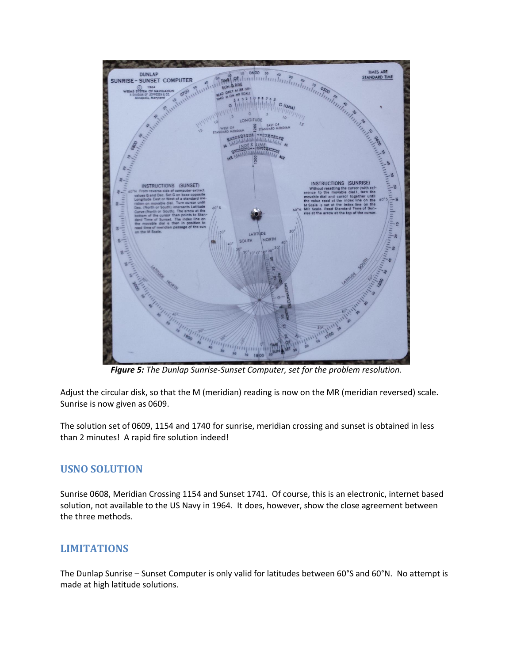

*Figure 5: The Dunlap Sunrise-Sunset Computer, set for the problem resolution.*

Adjust the circular disk, so that the M (meridian) reading is now on the MR (meridian reversed) scale. Sunrise is now given as 0609.

The solution set of 0609, 1154 and 1740 for sunrise, meridian crossing and sunset is obtained in less than 2 minutes! A rapid fire solution indeed!

### **USNO SOLUTION**

Sunrise 0608, Meridian Crossing 1154 and Sunset 1741. Of course, this is an electronic, internet based solution, not available to the US Navy in 1964. It does, however, show the close agreement between the three methods.

### **LIMITATIONS**

The Dunlap Sunrise – Sunset Computer is only valid for latitudes between 60°S and 60°N. No attempt is made at high latitude solutions.